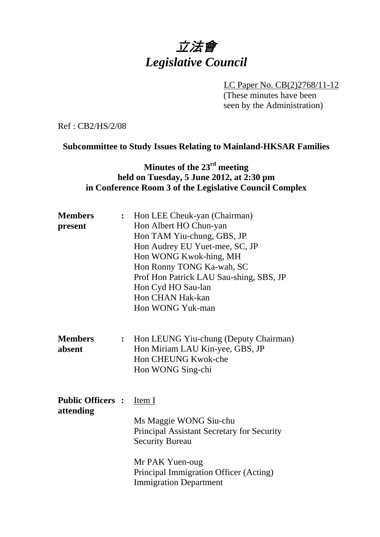# 立法會 *Legislative Council*

LC Paper No. CB(2)2768/11-12 (These minutes have been seen by the Administration)

Ref : CB2/HS/2/08

### **Subcommittee to Study Issues Relating to Mainland-HKSAR Families**

## **Minutes of the 23rd meeting held on Tuesday, 5 June 2012, at 2:30 pm in Conference Room 3 of the Legislative Council Complex**

| <b>Members</b><br>present            | $\ddot{\cdot}$ | Hon LEE Cheuk-yan (Chairman)<br>Hon Albert HO Chun-yan<br>Hon TAM Yiu-chung, GBS, JP<br>Hon Audrey EU Yuet-mee, SC, JP<br>Hon WONG Kwok-hing, MH<br>Hon Ronny TONG Ka-wah, SC<br>Prof Hon Patrick LAU Sau-shing, SBS, JP<br>Hon Cyd HO Sau-lan<br><b>Hon CHAN Hak-kan</b><br>Hon WONG Yuk-man |
|--------------------------------------|----------------|-----------------------------------------------------------------------------------------------------------------------------------------------------------------------------------------------------------------------------------------------------------------------------------------------|
| <b>Members</b><br>absent             | $\ddot{\cdot}$ | Hon LEUNG Yiu-chung (Deputy Chairman)<br>Hon Miriam LAU Kin-yee, GBS, JP<br>Hon CHEUNG Kwok-che<br>Hon WONG Sing-chi                                                                                                                                                                          |
| <b>Public Officers:</b><br>attending |                | <u>Item I</u><br>Ms Maggie WONG Siu-chu<br>Principal Assistant Secretary for Security<br><b>Security Bureau</b><br>Mr PAK Yuen-oug<br>Principal Immigration Officer (Acting)<br><b>Immigration Department</b>                                                                                 |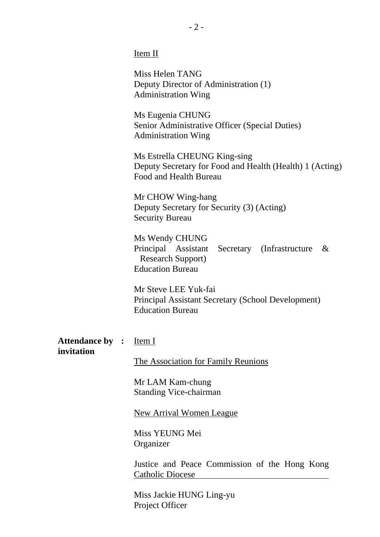Item II

Miss Helen TANG Deputy Director of Administration (1) Administration Wing

Ms Eugenia CHUNG Senior Administrative Officer (Special Duties) Administration Wing

Ms Estrella CHEUNG King-sing Deputy Secretary for Food and Health (Health) 1 (Acting) Food and Health Bureau

Mr CHOW Wing-hang Deputy Secretary for Security (3) (Acting) Security Bureau

Ms Wendy CHUNG Principal Assistant Secretary (Infrastructure & Research Support) Education Bureau

Mr Steve LEE Yuk-fai Principal Assistant Secretary (School Development) Education Bureau

**Attendance by :** Item I **invitation** 

The Association for Family Reunions

Mr LAM Kam-chung Standing Vice-chairman

**New Arrival Women League** 

Miss YEUNG Mei Organizer

Justice and Peace Commission of the Hong Kong Catholic Diocese

Miss Jackie HUNG Ling-yu Project Officer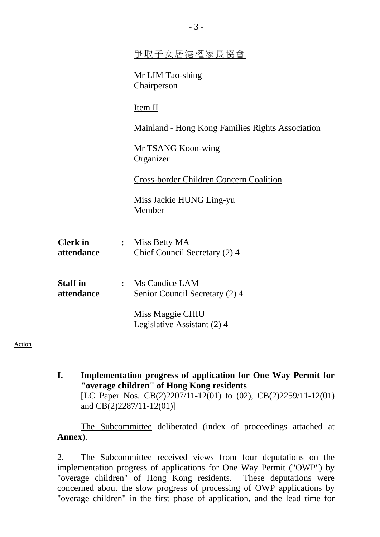|                               | 爭取子女居港權家長協會                                        |
|-------------------------------|----------------------------------------------------|
|                               | Mr LIM Tao-shing<br>Chairperson                    |
|                               | Item II                                            |
|                               | Mainland - Hong Kong Families Rights Association   |
|                               | Mr TSANG Koon-wing<br>Organizer                    |
|                               | Cross-border Children Concern Coalition            |
|                               | Miss Jackie HUNG Ling-yu<br>Member                 |
| <b>Clerk</b> in<br>attendance | : Miss Betty MA<br>Chief Council Secretary (2) 4   |
| <b>Staff</b> in<br>attendance | : Ms Candice LAM<br>Senior Council Secretary (2) 4 |
|                               | Miss Maggie CHIU<br>Legislative Assistant (2) 4    |
|                               |                                                    |

- Action
- **I. Implementation progress of application for One Way Permit for "overage children" of Hong Kong residents**  [LC Paper Nos. CB(2)2207/11-12(01) to (02), CB(2)2259/11-12(01) and CB(2)2287/11-12(01)]

The Subcommittee deliberated (index of proceedings attached at **Annex**).

2. The Subcommittee received views from four deputations on the implementation progress of applications for One Way Permit ("OWP") by "overage children" of Hong Kong residents. These deputations were concerned about the slow progress of processing of OWP applications by "overage children" in the first phase of application, and the lead time for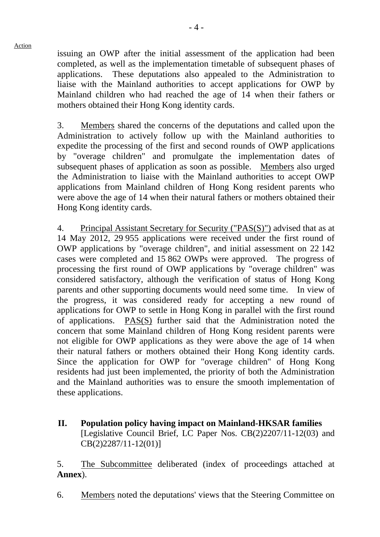issuing an OWP after the initial assessment of the application had been completed, as well as the implementation timetable of subsequent phases of applications. These deputations also appealed to the Administration to liaise with the Mainland authorities to accept applications for OWP by Mainland children who had reached the age of 14 when their fathers or mothers obtained their Hong Kong identity cards.

3. Members shared the concerns of the deputations and called upon the Administration to actively follow up with the Mainland authorities to expedite the processing of the first and second rounds of OWP applications by "overage children" and promulgate the implementation dates of subsequent phases of application as soon as possible. Members also urged the Administration to liaise with the Mainland authorities to accept OWP applications from Mainland children of Hong Kong resident parents who were above the age of 14 when their natural fathers or mothers obtained their Hong Kong identity cards.

4. Principal Assistant Secretary for Security ("PAS(S)") advised that as at 14 May 2012, 29,955 applications were received under the first round of OWP applications by "overage children", and initial assessment on 22,142 cases were completed and 15,862 OWPs were approved. The progress of processing the first round of OWP applications by "overage children" was considered satisfactory, although the verification of status of Hong Kong parents and other supporting documents would need some time. In view of the progress, it was considered ready for accepting a new round of applications for OWP to settle in Hong Kong in parallel with the first round of applications. PAS(S) further said that the Administration noted the concern that some Mainland children of Hong Kong resident parents were not eligible for OWP applications as they were above the age of 14 when their natural fathers or mothers obtained their Hong Kong identity cards. Since the application for OWP for "overage children" of Hong Kong residents had just been implemented, the priority of both the Administration and the Mainland authorities was to ensure the smooth implementation of these applications.

**II. Population policy having impact on Mainland-HKSAR families**  [Legislative Council Brief, LC Paper Nos. CB(2)2207/11-12(03) and CB(2)2287/11-12(01)]

5. The Subcommittee deliberated (index of proceedings attached at **Annex**).

6. Members noted the deputations' views that the Steering Committee on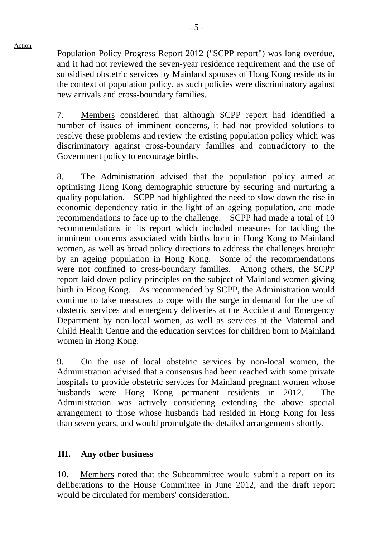Action

Population Policy Progress Report 2012 ("SCPP report") was long overdue, and it had not reviewed the seven-year residence requirement and the use of subsidised obstetric services by Mainland spouses of Hong Kong residents in the context of population policy, as such policies were discriminatory against new arrivals and cross-boundary families.

7. Members considered that although SCPP report had identified a number of issues of imminent concerns, it had not provided solutions to resolve these problems and review the existing population policy which was discriminatory against cross-boundary families and contradictory to the Government policy to encourage births.

8. The Administration advised that the population policy aimed at optimising Hong Kong demographic structure by securing and nurturing a quality population. SCPP had highlighted the need to slow down the rise in economic dependency ratio in the light of an ageing population, and made recommendations to face up to the challenge. SCPP had made a total of 10 recommendations in its report which included measures for tackling the imminent concerns associated with births born in Hong Kong to Mainland women, as well as broad policy directions to address the challenges brought by an ageing population in Hong Kong. Some of the recommendations were not confined to cross-boundary families. Among others, the SCPP report laid down policy principles on the subject of Mainland women giving birth in Hong Kong. As recommended by SCPP, the Administration would continue to take measures to cope with the surge in demand for the use of obstetric services and emergency deliveries at the Accident and Emergency Department by non-local women, as well as services at the Maternal and Child Health Centre and the education services for children born to Mainland women in Hong Kong.

9. On the use of local obstetric services by non-local women, the Administration advised that a consensus had been reached with some private hospitals to provide obstetric services for Mainland pregnant women whose husbands were Hong Kong permanent residents in 2012. The Administration was actively considering extending the above special arrangement to those whose husbands had resided in Hong Kong for less than seven years, and would promulgate the detailed arrangements shortly.

#### **III. Any other business**

10. Members noted that the Subcommittee would submit a report on its deliberations to the House Committee in June 2012, and the draft report would be circulated for members' consideration.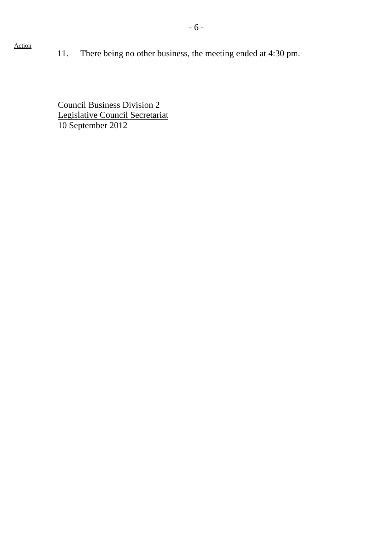11. There being no other business, the meeting ended at 4:30 pm.

Council Business Division 2 Legislative Council Secretariat 10 September 2012

### Action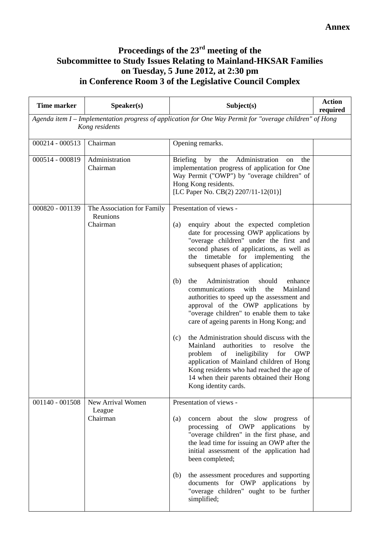#### **Proceedings of the 23rd meeting of the Subcommittee to Study Issues Relating to Mainland-HKSAR Families on Tuesday, 5 June 2012, at 2:30 pm in Conference Room 3 of the Legislative Council Complex**

| <b>Time marker</b> | Speaker(s)                                         | Subject(s)                                                                                                                                                                                                                                                                                                                                                                                                                                                                                                                                                                                                                                                                                                                                                                                                                                                                                     | <b>Action</b><br>required |
|--------------------|----------------------------------------------------|------------------------------------------------------------------------------------------------------------------------------------------------------------------------------------------------------------------------------------------------------------------------------------------------------------------------------------------------------------------------------------------------------------------------------------------------------------------------------------------------------------------------------------------------------------------------------------------------------------------------------------------------------------------------------------------------------------------------------------------------------------------------------------------------------------------------------------------------------------------------------------------------|---------------------------|
|                    | Kong residents                                     | Agenda item I - Implementation progress of application for One Way Permit for "overage children" of Hong                                                                                                                                                                                                                                                                                                                                                                                                                                                                                                                                                                                                                                                                                                                                                                                       |                           |
| $000214 - 000513$  | Chairman                                           | Opening remarks.                                                                                                                                                                                                                                                                                                                                                                                                                                                                                                                                                                                                                                                                                                                                                                                                                                                                               |                           |
| 000514 - 000819    | Administration<br>Chairman                         | Administration<br><b>Briefing</b><br>by<br>the<br>on<br>the<br>implementation progress of application for One<br>Way Permit ("OWP") by "overage children" of<br>Hong Kong residents.<br>[LC Paper No. CB(2) 2207/11-12(01)]                                                                                                                                                                                                                                                                                                                                                                                                                                                                                                                                                                                                                                                                    |                           |
| 000820 - 001139    | The Association for Family<br>Reunions<br>Chairman | Presentation of views -<br>enquiry about the expected completion<br>(a)<br>date for processing OWP applications by<br>"overage children" under the first and<br>second phases of applications, as well as<br>the timetable for implementing the<br>subsequent phases of application;<br>Administration<br>(b)<br>the<br>should<br>enhance<br>communications<br>with<br>the<br>Mainland<br>authorities to speed up the assessment and<br>approval of the OWP applications by<br>"overage children" to enable them to take<br>care of ageing parents in Hong Kong; and<br>the Administration should discuss with the<br>(c)<br>Mainland<br>authorities to<br>resolve<br>the<br>ineligibility<br>for<br>problem<br>of<br><b>OWP</b><br>application of Mainland children of Hong<br>Kong residents who had reached the age of<br>14 when their parents obtained their Hong<br>Kong identity cards. |                           |
| $001140 - 001508$  | New Arrival Women<br>League<br>Chairman            | Presentation of views -<br>concern about the slow progress<br>(a)<br>of<br>processing of OWP applications<br>by<br>"overage children" in the first phase, and<br>the lead time for issuing an OWP after the<br>initial assessment of the application had<br>been completed;                                                                                                                                                                                                                                                                                                                                                                                                                                                                                                                                                                                                                    |                           |
|                    |                                                    | (b)<br>the assessment procedures and supporting<br>documents for OWP applications by<br>"overage children" ought to be further<br>simplified;                                                                                                                                                                                                                                                                                                                                                                                                                                                                                                                                                                                                                                                                                                                                                  |                           |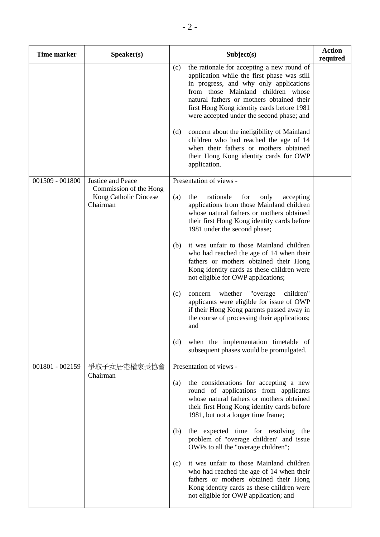| <b>Time marker</b> | Speaker(s)                                                  |     | Subject(s)                                                                                                                                                                                                                                                                                                        | <b>Action</b><br>required |
|--------------------|-------------------------------------------------------------|-----|-------------------------------------------------------------------------------------------------------------------------------------------------------------------------------------------------------------------------------------------------------------------------------------------------------------------|---------------------------|
|                    |                                                             | (c) | the rationale for accepting a new round of<br>application while the first phase was still<br>in progress, and why only applications<br>from those Mainland children whose<br>natural fathers or mothers obtained their<br>first Hong Kong identity cards before 1981<br>were accepted under the second phase; and |                           |
|                    |                                                             | (d) | concern about the ineligibility of Mainland<br>children who had reached the age of 14<br>when their fathers or mothers obtained<br>their Hong Kong identity cards for OWP<br>application.                                                                                                                         |                           |
| 001509 - 001800    | Justice and Peace                                           |     | Presentation of views -                                                                                                                                                                                                                                                                                           |                           |
|                    | Commission of the Hong<br>Kong Catholic Diocese<br>Chairman | (a) | the<br>rationale<br>for<br>only<br>accepting<br>applications from those Mainland children<br>whose natural fathers or mothers obtained<br>their first Hong Kong identity cards before<br>1981 under the second phase;                                                                                             |                           |
|                    |                                                             | (b) | it was unfair to those Mainland children<br>who had reached the age of 14 when their<br>fathers or mothers obtained their Hong<br>Kong identity cards as these children were<br>not eligible for OWP applications;                                                                                                |                           |
|                    |                                                             | (c) | whether<br>"overage<br>children"<br>concern<br>applicants were eligible for issue of OWP<br>if their Hong Kong parents passed away in<br>the course of processing their applications;<br>and                                                                                                                      |                           |
|                    |                                                             | (d) | when the implementation timetable of<br>subsequent phases would be promulgated.                                                                                                                                                                                                                                   |                           |
| 001801 - 002159    | 爭取子女居港權家長協會                                                 |     | Presentation of views -                                                                                                                                                                                                                                                                                           |                           |
|                    | Chairman                                                    | (a) | the considerations for accepting a new<br>round of applications from applicants<br>whose natural fathers or mothers obtained<br>their first Hong Kong identity cards before<br>1981, but not a longer time frame;                                                                                                 |                           |
|                    |                                                             | (b) | the expected time for resolving the<br>problem of "overage children" and issue<br>OWPs to all the "overage children";                                                                                                                                                                                             |                           |
|                    |                                                             | (c) | it was unfair to those Mainland children<br>who had reached the age of 14 when their<br>fathers or mothers obtained their Hong<br>Kong identity cards as these children were<br>not eligible for OWP application; and                                                                                             |                           |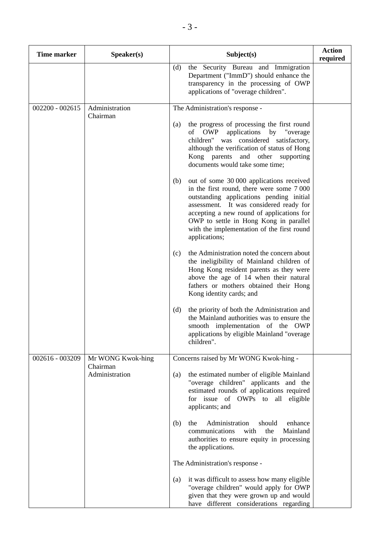| <b>Time marker</b> | Speaker(s)                                      | Subject(s)                                                                                                                                                                                                                                                                                                                                                                                                                                                                                                                                                                                                                                                                                                                                                                                                                                                                                               | <b>Action</b><br>required |
|--------------------|-------------------------------------------------|----------------------------------------------------------------------------------------------------------------------------------------------------------------------------------------------------------------------------------------------------------------------------------------------------------------------------------------------------------------------------------------------------------------------------------------------------------------------------------------------------------------------------------------------------------------------------------------------------------------------------------------------------------------------------------------------------------------------------------------------------------------------------------------------------------------------------------------------------------------------------------------------------------|---------------------------|
|                    |                                                 | the Security Bureau and Immigration<br>(d)<br>Department ("ImmD") should enhance the<br>transparency in the processing of OWP<br>applications of "overage children".                                                                                                                                                                                                                                                                                                                                                                                                                                                                                                                                                                                                                                                                                                                                     |                           |
| $002200 - 002615$  | Administration<br>Chairman                      | The Administration's response -<br>the progress of processing the first round<br>(a)<br>of OWP<br>applications by "overage"<br>children" was considered satisfactory,<br>although the verification of status of Hong<br>Kong parents<br>and other supporting<br>documents would take some time;<br>out of some 30 000 applications received<br>(b)<br>in the first round, there were some 7000<br>outstanding applications pending initial<br>assessment. It was considered ready for<br>accepting a new round of applications for<br>OWP to settle in Hong Kong in parallel<br>with the implementation of the first round<br>applications;<br>the Administration noted the concern about<br>(c)<br>the ineligibility of Mainland children of<br>Hong Kong resident parents as they were<br>above the age of 14 when their natural<br>fathers or mothers obtained their Hong<br>Kong identity cards; and |                           |
|                    |                                                 | (d)<br>the priority of both the Administration and<br>the Mainland authorities was to ensure the<br>smooth implementation of the OWP<br>applications by eligible Mainland "overage<br>children".                                                                                                                                                                                                                                                                                                                                                                                                                                                                                                                                                                                                                                                                                                         |                           |
| 002616 - 003209    | Mr WONG Kwok-hing<br>Chairman<br>Administration | Concerns raised by Mr WONG Kwok-hing -<br>the estimated number of eligible Mainland<br>(a)<br>"overage children" applicants and the<br>estimated rounds of applications required<br>for issue of OWPs to all eligible                                                                                                                                                                                                                                                                                                                                                                                                                                                                                                                                                                                                                                                                                    |                           |
|                    |                                                 | applicants; and<br>Administration<br>should<br>(b)<br>the<br>enhance<br>Mainland<br>communications<br>with<br>the<br>authorities to ensure equity in processing<br>the applications.                                                                                                                                                                                                                                                                                                                                                                                                                                                                                                                                                                                                                                                                                                                     |                           |
|                    |                                                 | The Administration's response -                                                                                                                                                                                                                                                                                                                                                                                                                                                                                                                                                                                                                                                                                                                                                                                                                                                                          |                           |
|                    |                                                 | it was difficult to assess how many eligible<br>(a)<br>"overage children" would apply for OWP<br>given that they were grown up and would<br>have different considerations regarding                                                                                                                                                                                                                                                                                                                                                                                                                                                                                                                                                                                                                                                                                                                      |                           |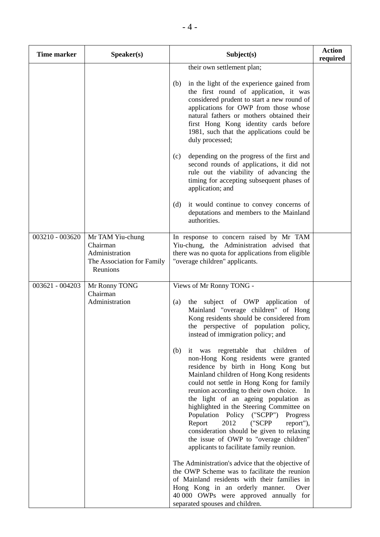| <b>Time marker</b> | Speaker(s)                                                                               | Subject(s)                                                                                                                                                                                                                                                                                                                                                                                                                                                                                                                                                                                                                                                | <b>Action</b><br>required |
|--------------------|------------------------------------------------------------------------------------------|-----------------------------------------------------------------------------------------------------------------------------------------------------------------------------------------------------------------------------------------------------------------------------------------------------------------------------------------------------------------------------------------------------------------------------------------------------------------------------------------------------------------------------------------------------------------------------------------------------------------------------------------------------------|---------------------------|
|                    |                                                                                          | their own settlement plan;                                                                                                                                                                                                                                                                                                                                                                                                                                                                                                                                                                                                                                |                           |
|                    |                                                                                          | in the light of the experience gained from<br>(b)<br>the first round of application, it was<br>considered prudent to start a new round of<br>applications for OWP from those whose<br>natural fathers or mothers obtained their<br>first Hong Kong identity cards before<br>1981, such that the applications could be<br>duly processed;                                                                                                                                                                                                                                                                                                                  |                           |
|                    |                                                                                          | depending on the progress of the first and<br>(c)<br>second rounds of applications, it did not<br>rule out the viability of advancing the<br>timing for accepting subsequent phases of<br>application; and                                                                                                                                                                                                                                                                                                                                                                                                                                                |                           |
|                    |                                                                                          | (d)<br>it would continue to convey concerns of<br>deputations and members to the Mainland<br>authorities.                                                                                                                                                                                                                                                                                                                                                                                                                                                                                                                                                 |                           |
| 003210 - 003620    | Mr TAM Yiu-chung<br>Chairman<br>Administration<br>The Association for Family<br>Reunions | In response to concern raised by Mr TAM<br>Yiu-chung, the Administration advised that<br>there was no quota for applications from eligible<br>"overage children" applicants.                                                                                                                                                                                                                                                                                                                                                                                                                                                                              |                           |
| 003621 - 004203    | Mr Ronny TONG                                                                            | Views of Mr Ronny TONG -                                                                                                                                                                                                                                                                                                                                                                                                                                                                                                                                                                                                                                  |                           |
|                    | Chairman<br>Administration                                                               | the subject of OWP application of<br>(a)<br>Mainland "overage children" of Hong<br>Kong residents should be considered from<br>the perspective of population policy,<br>instead of immigration policy; and<br>(b)<br>was regrettable that children<br>it<br>of<br>non-Hong Kong residents were granted<br>residence by birth in Hong Kong but<br>Mainland children of Hong Kong residents<br>could not settle in Hong Kong for family<br>reunion according to their own choice. In<br>the light of an ageing population as<br>highlighted in the Steering Committee on<br>Population Policy ("SCPP")<br>Progress<br>2012<br>Report<br>("SCPP<br>report"), |                           |
|                    |                                                                                          | consideration should be given to relaxing<br>the issue of OWP to "overage children"<br>applicants to facilitate family reunion.<br>The Administration's advice that the objective of                                                                                                                                                                                                                                                                                                                                                                                                                                                                      |                           |
|                    |                                                                                          | the OWP Scheme was to facilitate the reunion<br>of Mainland residents with their families in<br>Hong Kong in an orderly manner.<br>Over<br>40 000 OWPs were approved annually for<br>separated spouses and children.                                                                                                                                                                                                                                                                                                                                                                                                                                      |                           |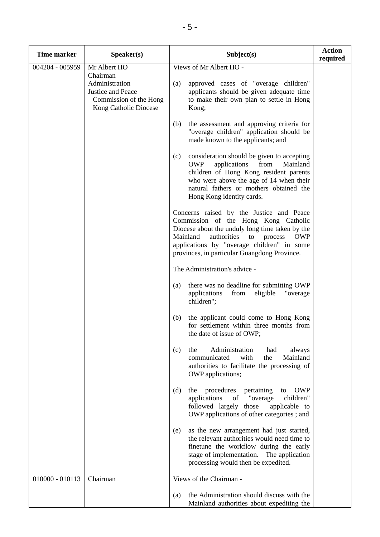| <b>Time marker</b> | Speaker(s)                                                                                         | Subject(s)                                                                                                                                                                                                                                                                                  | <b>Action</b><br>required |
|--------------------|----------------------------------------------------------------------------------------------------|---------------------------------------------------------------------------------------------------------------------------------------------------------------------------------------------------------------------------------------------------------------------------------------------|---------------------------|
| 004204 - 005959    | Mr Albert HO                                                                                       | Views of Mr Albert HO -                                                                                                                                                                                                                                                                     |                           |
|                    | Chairman<br>Administration<br>Justice and Peace<br>Commission of the Hong<br>Kong Catholic Diocese | approved cases of "overage children"<br>(a)<br>applicants should be given adequate time<br>to make their own plan to settle in Hong<br>Kong;                                                                                                                                                |                           |
|                    |                                                                                                    | (b)<br>the assessment and approving criteria for<br>"overage children" application should be<br>made known to the applicants; and                                                                                                                                                           |                           |
|                    |                                                                                                    | consideration should be given to accepting<br>(c)<br><b>OWP</b><br>applications<br>from<br>Mainland<br>children of Hong Kong resident parents<br>who were above the age of 14 when their<br>natural fathers or mothers obtained the<br>Hong Kong identity cards.                            |                           |
|                    |                                                                                                    | Concerns raised by the Justice and Peace<br>Commission of the Hong Kong Catholic<br>Diocese about the unduly long time taken by the<br>Mainland<br>authorities<br><b>OWP</b><br>to<br>process<br>applications by "overage children" in some<br>provinces, in particular Guangdong Province. |                           |
|                    |                                                                                                    | The Administration's advice -                                                                                                                                                                                                                                                               |                           |
|                    |                                                                                                    | there was no deadline for submitting OWP<br>(a)<br>applications<br>"overage<br>from<br>eligible<br>children";                                                                                                                                                                               |                           |
|                    |                                                                                                    | the applicant could come to Hong Kong<br>(b)<br>for settlement within three months from<br>the date of issue of OWP;                                                                                                                                                                        |                           |
|                    |                                                                                                    | Administration<br>the<br>(c)<br>had<br>always<br>communicated<br>with<br>the<br>Mainland<br>authorities to facilitate the processing of<br>OWP applications;                                                                                                                                |                           |
|                    |                                                                                                    | procedures<br>pertaining<br><b>OWP</b><br>(d)<br>the<br>to<br>applications<br>"overage<br>children"<br>of<br>followed largely those<br>applicable to<br>OWP applications of other categories; and                                                                                           |                           |
|                    |                                                                                                    | as the new arrangement had just started,<br>(e)<br>the relevant authorities would need time to<br>finetune the workflow during the early<br>stage of implementation. The application<br>processing would then be expedited.                                                                 |                           |
| $010000 - 010113$  | Chairman                                                                                           | Views of the Chairman -                                                                                                                                                                                                                                                                     |                           |
|                    |                                                                                                    | the Administration should discuss with the<br>(a)<br>Mainland authorities about expediting the                                                                                                                                                                                              |                           |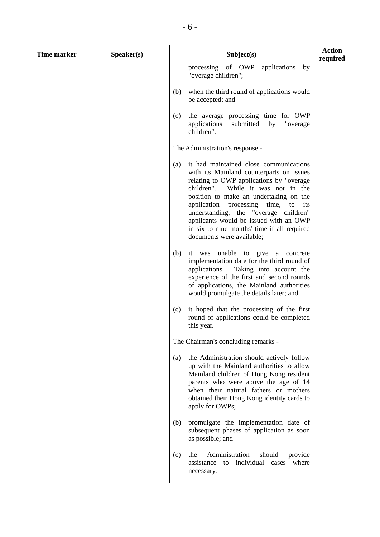| <b>Time marker</b> | Speaker(s) |     | Subject(s)                                                                                                                                                                                                                                                                                                                                                                                                              | <b>Action</b><br>required |
|--------------------|------------|-----|-------------------------------------------------------------------------------------------------------------------------------------------------------------------------------------------------------------------------------------------------------------------------------------------------------------------------------------------------------------------------------------------------------------------------|---------------------------|
|                    |            |     | processing of OWP<br>applications<br>by<br>"overage children";                                                                                                                                                                                                                                                                                                                                                          |                           |
|                    |            | (b) | when the third round of applications would<br>be accepted; and                                                                                                                                                                                                                                                                                                                                                          |                           |
|                    |            | (c) | the average processing time for OWP<br>applications<br>submitted<br>by<br>"overage<br>children".                                                                                                                                                                                                                                                                                                                        |                           |
|                    |            |     | The Administration's response -                                                                                                                                                                                                                                                                                                                                                                                         |                           |
|                    |            | (a) | it had maintained close communications<br>with its Mainland counterparts on issues<br>relating to OWP applications by "overage<br>While it was not in the<br>children".<br>position to make an undertaking on the<br>application processing time, to its<br>understanding, the "overage children"<br>applicants would be issued with an OWP<br>in six to nine months' time if all required<br>documents were available; |                           |
|                    |            | (b) | it was unable to give a concrete<br>implementation date for the third round of<br>applications.<br>Taking into account the<br>experience of the first and second rounds<br>of applications, the Mainland authorities<br>would promulgate the details later; and                                                                                                                                                         |                           |
|                    |            | (c) | it hoped that the processing of the first<br>round of applications could be completed<br>this year.                                                                                                                                                                                                                                                                                                                     |                           |
|                    |            |     | The Chairman's concluding remarks -                                                                                                                                                                                                                                                                                                                                                                                     |                           |
|                    |            | (a) | the Administration should actively follow<br>up with the Mainland authorities to allow<br>Mainland children of Hong Kong resident<br>parents who were above the age of 14<br>when their natural fathers or mothers<br>obtained their Hong Kong identity cards to<br>apply for OWPs;                                                                                                                                     |                           |
|                    |            | (b) | promulgate the implementation date of<br>subsequent phases of application as soon<br>as possible; and                                                                                                                                                                                                                                                                                                                   |                           |
|                    |            | (c) | Administration<br>the<br>should<br>provide<br>to individual<br>where<br>assistance<br>cases<br>necessary.                                                                                                                                                                                                                                                                                                               |                           |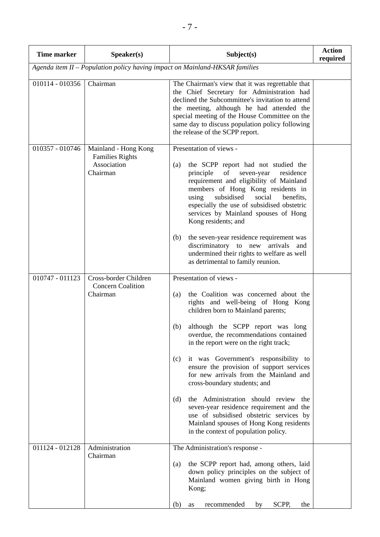| <b>Time marker</b>                                                          | Speaker(s)                                                                | Subject(s)                                                                                                                                                                                                                                                                                                                                                                                                                                                                                                                                                                                                                                                                         | <b>Action</b><br>required |  |  |  |
|-----------------------------------------------------------------------------|---------------------------------------------------------------------------|------------------------------------------------------------------------------------------------------------------------------------------------------------------------------------------------------------------------------------------------------------------------------------------------------------------------------------------------------------------------------------------------------------------------------------------------------------------------------------------------------------------------------------------------------------------------------------------------------------------------------------------------------------------------------------|---------------------------|--|--|--|
| Agenda item II - Population policy having impact on Mainland-HKSAR families |                                                                           |                                                                                                                                                                                                                                                                                                                                                                                                                                                                                                                                                                                                                                                                                    |                           |  |  |  |
| 010114 - 010356                                                             | Chairman                                                                  | The Chairman's view that it was regrettable that<br>the Chief Secretary for Administration had<br>declined the Subcommittee's invitation to attend<br>the meeting, although he had attended the<br>special meeting of the House Committee on the<br>same day to discuss population policy following<br>the release of the SCPP report.                                                                                                                                                                                                                                                                                                                                             |                           |  |  |  |
| 010357 - 010746                                                             | Mainland - Hong Kong<br><b>Families Rights</b><br>Association<br>Chairman | Presentation of views -<br>the SCPP report had not studied the<br>(a)<br>principle<br>of<br>seven-year<br>residence<br>requirement and eligibility of Mainland<br>members of Hong Kong residents in<br>subsidised<br>social<br>using<br>benefits,<br>especially the use of subsidised obstetric<br>services by Mainland spouses of Hong<br>Kong residents; and<br>the seven-year residence requirement was<br>(b)<br>discriminatory to new arrivals<br>and<br>undermined their rights to welfare as well<br>as detrimental to family reunion.                                                                                                                                      |                           |  |  |  |
| 010747 - 011123                                                             | Cross-border Children<br><b>Concern Coalition</b><br>Chairman             | Presentation of views -<br>the Coalition was concerned about the<br>(a)<br>rights and well-being of Hong Kong<br>children born to Mainland parents;<br>although the SCPP report was long<br>(b)<br>overdue, the recommendations contained<br>in the report were on the right track;<br>it was Government's responsibility to<br>(c)<br>ensure the provision of support services<br>for new arrivals from the Mainland and<br>cross-boundary students; and<br>the Administration should review the<br>(d)<br>seven-year residence requirement and the<br>use of subsidised obstetric services by<br>Mainland spouses of Hong Kong residents<br>in the context of population policy. |                           |  |  |  |
| 011124 - 012128                                                             | Administration<br>Chairman                                                | The Administration's response -<br>(a)<br>the SCPP report had, among others, laid<br>down policy principles on the subject of<br>Mainland women giving birth in Hong<br>Kong;<br>(b)<br>SCPP,<br>recommended<br>the<br>by<br>as                                                                                                                                                                                                                                                                                                                                                                                                                                                    |                           |  |  |  |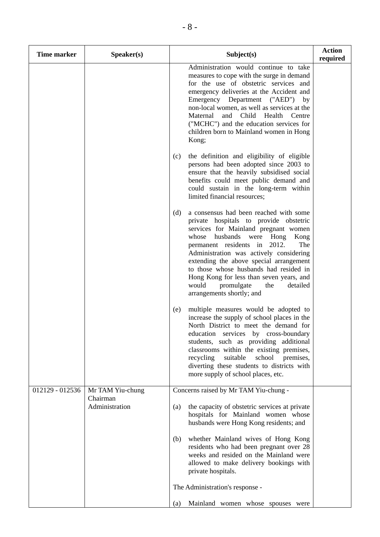| <b>Time marker</b> | Speaker(s)                   | Subject(s)                                                                                                                                                                                                                                                                                                                                                                                                                                                       | <b>Action</b><br>required |
|--------------------|------------------------------|------------------------------------------------------------------------------------------------------------------------------------------------------------------------------------------------------------------------------------------------------------------------------------------------------------------------------------------------------------------------------------------------------------------------------------------------------------------|---------------------------|
|                    |                              | Administration would continue to take<br>measures to cope with the surge in demand<br>for the use of obstetric services and<br>emergency deliveries at the Accident and<br>Emergency Department ("AED") by<br>non-local women, as well as services at the<br>Maternal<br>and Child Health<br>Centre<br>("MCHC") and the education services for<br>children born to Mainland women in Hong<br>Kong;                                                               |                           |
|                    |                              | the definition and eligibility of eligible<br>(c)<br>persons had been adopted since 2003 to<br>ensure that the heavily subsidised social<br>benefits could meet public demand and<br>could sustain in the long-term within<br>limited financial resources;                                                                                                                                                                                                       |                           |
|                    |                              | a consensus had been reached with some<br>(d)<br>private hospitals to provide obstetric<br>services for Mainland pregnant women<br>husbands were Hong<br>whose<br>Kong<br>permanent residents in 2012.<br>The<br>Administration was actively considering<br>extending the above special arrangement<br>to those whose husbands had resided in<br>Hong Kong for less than seven years, and<br>would<br>promulgate<br>the<br>detailed<br>arrangements shortly; and |                           |
|                    |                              | multiple measures would be adopted to<br>(e)<br>increase the supply of school places in the<br>North District to meet the demand for<br>education services by cross-boundary<br>students, such as providing additional<br>classrooms within the existing premises,<br>school<br>recycling<br>suitable<br>premises,<br>diverting these students to districts with<br>more supply of school places, etc.                                                           |                           |
| 012129 - 012536    | Mr TAM Yiu-chung<br>Chairman | Concerns raised by Mr TAM Yiu-chung -                                                                                                                                                                                                                                                                                                                                                                                                                            |                           |
|                    | Administration               | the capacity of obstetric services at private<br>(a)<br>hospitals for Mainland women whose<br>husbands were Hong Kong residents; and                                                                                                                                                                                                                                                                                                                             |                           |
|                    |                              | whether Mainland wives of Hong Kong<br>(b)<br>residents who had been pregnant over 28<br>weeks and resided on the Mainland were<br>allowed to make delivery bookings with<br>private hospitals.                                                                                                                                                                                                                                                                  |                           |
|                    |                              | The Administration's response -                                                                                                                                                                                                                                                                                                                                                                                                                                  |                           |
|                    |                              | Mainland women whose spouses were<br>(a)                                                                                                                                                                                                                                                                                                                                                                                                                         |                           |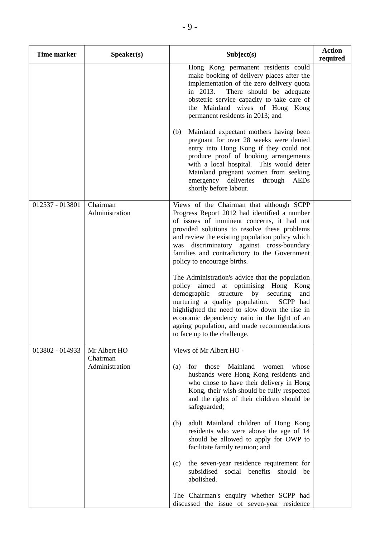| <b>Time marker</b> | Speaker(s)                                 | Subject(s)                                                                                                                                                                                                                                                                                                                                                                  | <b>Action</b><br>required |
|--------------------|--------------------------------------------|-----------------------------------------------------------------------------------------------------------------------------------------------------------------------------------------------------------------------------------------------------------------------------------------------------------------------------------------------------------------------------|---------------------------|
|                    |                                            | Hong Kong permanent residents could<br>make booking of delivery places after the<br>implementation of the zero delivery quota<br>in 2013.<br>There should be adequate<br>obstetric service capacity to take care of<br>the Mainland wives of Hong Kong<br>permanent residents in 2013; and                                                                                  |                           |
|                    |                                            | (b)<br>Mainland expectant mothers having been<br>pregnant for over 28 weeks were denied<br>entry into Hong Kong if they could not<br>produce proof of booking arrangements<br>with a local hospital. This would deter<br>Mainland pregnant women from seeking<br>emergency deliveries<br>through<br>AEDs<br>shortly before labour.                                          |                           |
| 012537 - 013801    | Chairman<br>Administration                 | Views of the Chairman that although SCPP<br>Progress Report 2012 had identified a number<br>of issues of imminent concerns, it had not<br>provided solutions to resolve these problems<br>and review the existing population policy which<br>was discriminatory against cross-boundary<br>families and contradictory to the Government<br>policy to encourage births.       |                           |
|                    |                                            | The Administration's advice that the population<br>policy aimed at optimising Hong<br>Kong<br>demographic<br>structure<br>by securing<br>and<br>nurturing a quality population.<br>SCPP had<br>highlighted the need to slow down the rise in<br>economic dependency ratio in the light of an<br>ageing population, and made recommendations<br>to face up to the challenge. |                           |
| 013802 - 014933    | Mr Albert HO<br>Chairman<br>Administration | Views of Mr Albert HO -<br>Mainland<br>whose<br>(a)<br>for<br>those<br>women<br>husbands were Hong Kong residents and<br>who chose to have their delivery in Hong<br>Kong, their wish should be fully respected<br>and the rights of their children should be<br>safeguarded;                                                                                               |                           |
|                    |                                            | adult Mainland children of Hong Kong<br>(b)<br>residents who were above the age of 14<br>should be allowed to apply for OWP to<br>facilitate family reunion; and                                                                                                                                                                                                            |                           |
|                    |                                            | the seven-year residence requirement for<br>(c)<br>subsidised social benefits should be<br>abolished.                                                                                                                                                                                                                                                                       |                           |
|                    |                                            | The Chairman's enquiry whether SCPP had<br>discussed the issue of seven-year residence                                                                                                                                                                                                                                                                                      |                           |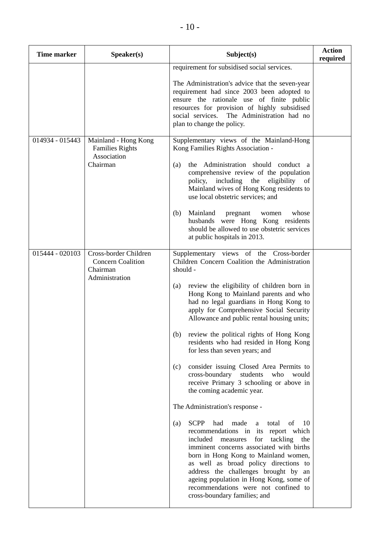| <b>Time marker</b> | Speaker(s)                                                                      | Subject(s)                                                                                                                                                                                                                                                                                                                                                                                                                                                                                                                                                                                                                                                                                                                                                                                                                                                                                                                                                                                                                                                                                                                      | <b>Action</b><br>required |
|--------------------|---------------------------------------------------------------------------------|---------------------------------------------------------------------------------------------------------------------------------------------------------------------------------------------------------------------------------------------------------------------------------------------------------------------------------------------------------------------------------------------------------------------------------------------------------------------------------------------------------------------------------------------------------------------------------------------------------------------------------------------------------------------------------------------------------------------------------------------------------------------------------------------------------------------------------------------------------------------------------------------------------------------------------------------------------------------------------------------------------------------------------------------------------------------------------------------------------------------------------|---------------------------|
|                    |                                                                                 | requirement for subsidised social services.<br>The Administration's advice that the seven-year<br>requirement had since 2003 been adopted to<br>ensure the rationale use of finite public<br>resources for provision of highly subsidised<br>social services. The Administration had no<br>plan to change the policy.                                                                                                                                                                                                                                                                                                                                                                                                                                                                                                                                                                                                                                                                                                                                                                                                           |                           |
| 014934 - 015443    | Mainland - Hong Kong<br><b>Families Rights</b><br>Association<br>Chairman       | Supplementary views of the Mainland-Hong<br>Kong Families Rights Association -<br>the Administration should conduct a<br>(a)<br>comprehensive review of the population<br>policy, including the eligibility of<br>Mainland wives of Hong Kong residents to<br>use local obstetric services; and<br>Mainland<br>whose<br>(b)<br>pregnant<br>women<br>husbands were Hong Kong residents<br>should be allowed to use obstetric services<br>at public hospitals in 2013.                                                                                                                                                                                                                                                                                                                                                                                                                                                                                                                                                                                                                                                            |                           |
| 015444 - 020103    | Cross-border Children<br><b>Concern Coalition</b><br>Chairman<br>Administration | Supplementary views of the Cross-border<br>Children Concern Coalition the Administration<br>should -<br>review the eligibility of children born in<br>(a)<br>Hong Kong to Mainland parents and who<br>had no legal guardians in Hong Kong to<br>apply for Comprehensive Social Security<br>Allowance and public rental housing units;<br>review the political rights of Hong Kong<br>(b)<br>residents who had resided in Hong Kong<br>for less than seven years; and<br>consider issuing Closed Area Permits to<br>(c)<br>cross-boundary<br>students<br>who<br>would<br>receive Primary 3 schooling or above in<br>the coming academic year.<br>The Administration's response -<br><b>SCPP</b><br>made<br>of<br>had<br>total<br>10<br>(a)<br>a<br>recommendations in its report which<br>included<br>tackling<br>measures<br>for<br>the<br>imminent concerns associated with births<br>born in Hong Kong to Mainland women,<br>as well as broad policy directions to<br>address the challenges brought by an<br>ageing population in Hong Kong, some of<br>recommendations were not confined to<br>cross-boundary families; and |                           |